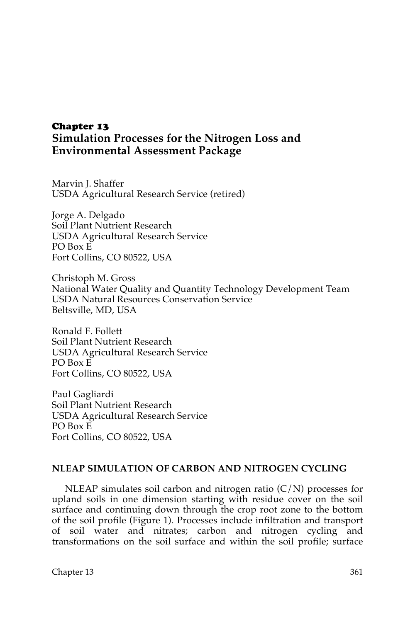## Chapter 13 **Simulation Processes for the Nitrogen Loss and Environmental Assessment Package**

Marvin J. Shaffer USDA Agricultural Research Service (retired)

Jorge A. Delgado Soil Plant Nutrient Research USDA Agricultural Research Service PO Box E Fort Collins, CO 80522, USA

Christoph M. Gross National Water Quality and Quantity Technology Development Team USDA Natural Resources Conservation Service Beltsville, MD, USA

Ronald F. Follett Soil Plant Nutrient Research USDA Agricultural Research Service PO Box E Fort Collins, CO 80522, USA

Paul Gagliardi Soil Plant Nutrient Research USDA Agricultural Research Service PO Box E Fort Collins, CO 80522, USA

## **NLEAP SIMULATION OF CARBON AND NITROGEN CYCLING**

NLEAP simulates soil carbon and nitrogen ratio  $(C/N)$  processes for upland soils in one dimension starting with residue cover on the soil surface and continuing down through the crop root zone to the bottom of the soil profile (Figure 1). Processes include infiltration and transport of soil water and nitrates; carbon and nitrogen cycling and transformations on the soil surface and within the soil profile; surface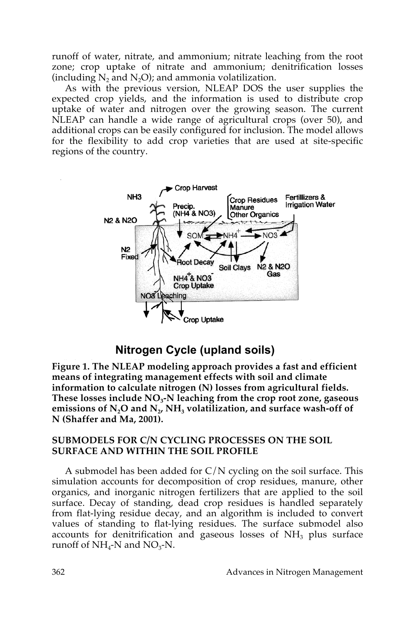runoff of water, nitrate, and ammonium; nitrate leaching from the root zone; crop uptake of nitrate and ammonium; denitrification losses (including  $N_2$  and  $N_2O$ ); and ammonia volatilization.

As with the previous version, NLEAP DOS the user supplies the expected crop yields, and the information is used to distribute crop uptake of water and nitrogen over the growing season. The current NLEAP can handle a wide range of agricultural crops (over 50), and additional crops can be easily configured for inclusion. The model allows for the flexibility to add crop varieties that are used at site-specific regions of the country.



# **Nitrogen Cycle (upland soils)**

**Figure 1. The NLEAP modeling approach provides a fast and efficient means of integrating management effects with soil and climate information to calculate nitrogen (N) losses from agricultural fields.**  These losses include NO<sub>3</sub>-N leaching from the crop root zone, gaseous emissions of  $N_2O$  and  $N_2$ , NH<sub>3</sub> volatilization, and surface wash-off of **N (Shaffer and Ma, 2001).**

## **SUBMODELS FOR C/N CYCLING PROCESSES ON THE SOIL SURFACE AND WITHIN THE SOIL PROFILE**

A submodel has been added for  $C/N$  cycling on the soil surface. This simulation accounts for decomposition of crop residues, manure, other organics, and inorganic nitrogen fertilizers that are applied to the soil surface. Decay of standing, dead crop residues is handled separately from flat-lying residue decay, and an algorithm is included to convert values of standing to flat-lying residues. The surface submodel also accounts for denitrification and gaseous losses of  $NH<sub>3</sub>$  plus surface runoff of  $NH_4$ -N and  $NO_3$ -N.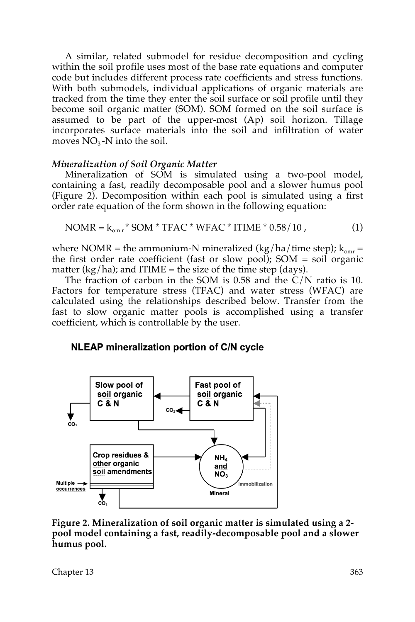A similar, related submodel for residue decomposition and cycling within the soil profile uses most of the base rate equations and computer code but includes different process rate coefficients and stress functions. With both submodels, individual applications of organic materials are tracked from the time they enter the soil surface or soil profile until they become soil organic matter (SOM). SOM formed on the soil surface is assumed to be part of the upper-most (Ap) soil horizon. Tillage incorporates surface materials into the soil and infiltration of water moves  $NO<sub>3</sub>$ -N into the soil.

## *Mineralization of Soil Organic Matter*

Mineralization of SOM is simulated using a two-pool model, containing a fast, readily decomposable pool and a slower humus pool (Figure 2). Decomposition within each pool is simulated using a first order rate equation of the form shown in the following equation:

$$
NOMR = k_{om\,r} * SOM * TFAC * WFAC * ITIME * 0.58/10 , \qquad (1)
$$

where NOMR = the ammonium-N mineralized (kg/ha/time step);  $k_{\text{omr}} =$ the first order rate coefficient (fast or slow pool); SOM = soil organic matter (kg/ha); and ITIME = the size of the time step (days).

The fraction of carbon in the SOM is 0.58 and the C/N ratio is 10. Factors for temperature stress (TFAC) and water stress (WFAC) are calculated using the relationships described below. Transfer from the fast to slow organic matter pools is accomplished using a transfer coefficient, which is controllable by the user.

## **NLEAP mineralization portion of C/N cycle**



**Figure 2. Mineralization of soil organic matter is simulated using a 2 pool model containing a fast, readily-decomposable pool and a slower humus pool.** 

Chapter 13 363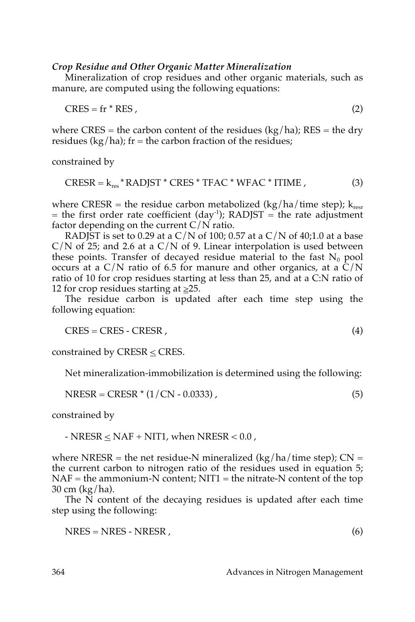## *Crop Residue and Other Organic Matter Mineralization*

Mineralization of crop residues and other organic materials, such as manure, are computed using the following equations:

 $CRES = fr * RES$ , (2)

where CRES = the carbon content of the residues  $(kg/ha)$ ; RES = the dry residues (kg/ha);  $fr =$  the carbon fraction of the residues;

constrained by

$$
CRESR = k_{res} * RADJST * CRES * TFAC * WFAC * ITIME ,
$$
 (3)

where CRESR = the residue carbon metabolized (kg/ha/time step);  $k_{resr}$  $=$  the first order rate coefficient (day<sup>-1</sup>); RADJST  $=$  the rate adjustment factor depending on the current  $C/N$  ratio.

RADJST is set to 0.29 at a C/N of 100; 0.57 at a C/N of 40;1.0 at a base  $C/N$  of 25; and 2.6 at a  $C/N$  of 9. Linear interpolation is used between these points. Transfer of decayed residue material to the fast  $N_0$  pool occurs at a  $C/N$  ratio of 6.5 for manure and other organics, at a  $\overline{C}/N$ ratio of 10 for crop residues starting at less than 25, and at a C:N ratio of 12 for crop residues starting at  $\geq$ 25.

The residue carbon is updated after each time step using the following equation:

 $CRES = CRES - CRES$ , (4)

constrained by CRESR  $\leq$  CRES.

Net mineralization-immobilization is determined using the following:

$$
NRESR = CRESR * (1/CN - 0.0333), \qquad (5)
$$

constrained by

- NRESR  $\leq$  NAF + NIT1, when NRESR  $<$  0.0,

where NRESR = the net residue-N mineralized  $\frac{kg}{ha}$  time step); CN = the current carbon to nitrogen ratio of the residues used in equation 5;  $NAF$  = the ammonium-N content; NIT1 = the nitrate-N content of the top 30 cm (kg/ha).

The N content of the decaying residues is updated after each time step using the following:

 $NRES = NRES - NRES$ , (6)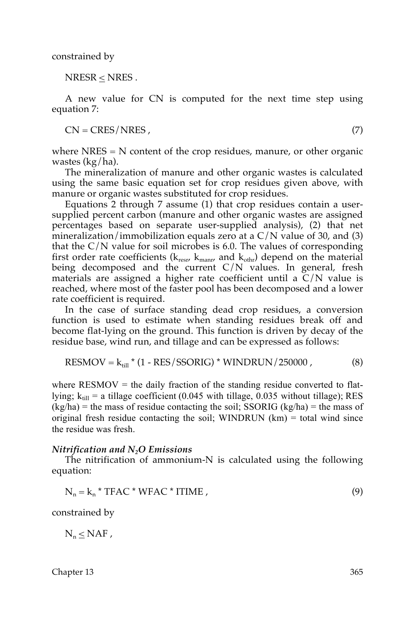constrained by

NRESR < NRES .

A new value for CN is computed for the next time step using equation 7:

 $CN = CRES/NRES$ , (7)

where  $NRES = N$  content of the crop residues, manure, or other organic wastes (kg/ha).

The mineralization of manure and other organic wastes is calculated using the same basic equation set for crop residues given above, with manure or organic wastes substituted for crop residues.

Equations 2 through 7 assume (1) that crop residues contain a usersupplied percent carbon (manure and other organic wastes are assigned percentages based on separate user-supplied analysis), (2) that net mineralization/immobilization equals zero at a  $C/N$  value of 30, and (3) that the  $C/N$  value for soil microbes is 6.0. The values of corresponding first order rate coefficients ( $k_{resr}$ ,  $k_{manr}$ , and  $k_{other}$ ) depend on the material being decomposed and the current  $C/N$  values. In general, fresh materials are assigned a higher rate coefficient until a  $C/N$  value is reached, where most of the faster pool has been decomposed and a lower rate coefficient is required.

In the case of surface standing dead crop residues, a conversion function is used to estimate when standing residues break off and become flat-lying on the ground. This function is driven by decay of the residue base, wind run, and tillage and can be expressed as follows:

$$
RESMOV = k_{\text{fill}} * (1 - RES/SSORIG) * WINDRUN/250000 ,
$$
 (8)

where  $RESMOV =$  the daily fraction of the standing residue converted to flatlying;  $k_{\text{til}} = a$  tillage coefficient (0.045 with tillage, 0.035 without tillage); RES  $(kg/ha)$  = the mass of residue contacting the soil; SSORIG  $(kg/ha)$  = the mass of original fresh residue contacting the soil; WINDRUN  $(km)$  = total wind since the residue was fresh.

#### *Nitrification and N2O Emissions*

The nitrification of ammonium-N is calculated using the following equation:

$$
N_n = k_n * TFAC * WFAC * ITIME ,
$$
\n(9)

constrained by

 $N_n < NAF$ ,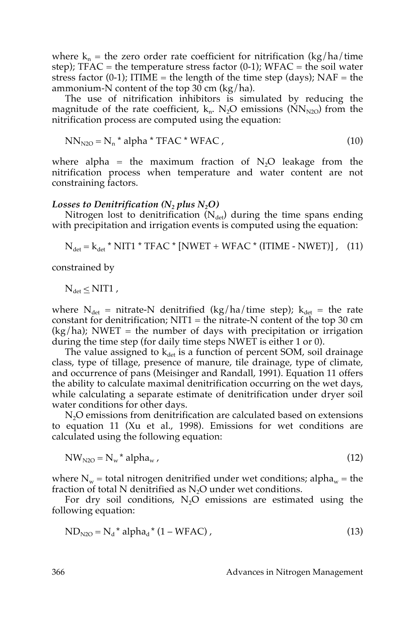where  $k_n$  = the zero order rate coefficient for nitrification (kg/ha/time step);  $TFAC =$  the temperature stress factor  $(0-1)$ ;  $WFAC =$  the soil water stress factor (0-1); ITIME = the length of the time step (days);  $NAF =$  the ammonium-N content of the top 30 cm  $\frac{\log h}{h}$ .

The use of nitrification inhibitors is simulated by reducing the magnitude of the rate coefficient,  $k_n$ . N<sub>2</sub>O emissions (NN<sub>N2O</sub>) from the nitrification process are computed using the equation:

$$
NN_{N2O} = N_n * alpha * TFAC * WFAC ,
$$
\n(10)

where alpha = the maximum fraction of  $N_2O$  leakage from the nitrification process when temperature and water content are not constraining factors.

#### *Losses to Denitrification*  $(N_2$  *plus*  $N_2O$ *)*

Nitrogen lost to denitrification  $(N_{\text{det}})$  during the time spans ending with precipitation and irrigation events is computed using the equation:

$$
N_{\text{det}} = k_{\text{det}} * NIT1 * TFAC * [NWET + WFAC * (ITIME - NWET)], (11)
$$

constrained by

$$
N_{\text{det}} \leq NIT1,
$$

where  $N_{\text{det}}$  = nitrate-N denitrified (kg/ha/time step);  $k_{\text{det}}$  = the rate constant for denitrification;  $NIT1 =$  the nitrate-N content of the top 30 cm  $(kg/ha)$ ; NWET = the number of days with precipitation or irrigation during the time step (for daily time steps NWET is either 1 or 0).

The value assigned to  $k_{\text{det}}$  is a function of percent SOM, soil drainage class, type of tillage, presence of manure, tile drainage, type of climate, and occurrence of pans (Meisinger and Randall, 1991). Equation 11 offers the ability to calculate maximal denitrification occurring on the wet days, while calculating a separate estimate of denitrification under dryer soil water conditions for other days.

 $N<sub>2</sub>O$  emissions from denitrification are calculated based on extensions to equation 11 (Xu et al., 1998). Emissions for wet conditions are calculated using the following equation:

$$
NWN2O = Nw * alphaw, \t(12)
$$

where  $N_w$  = total nitrogen denitrified under wet conditions; alpha<sub>w</sub> = the fraction of total N denitrified as  $N_2O$  under wet conditions.

For dry soil conditions,  $N_2O$  emissions are estimated using the following equation:

$$
NDN2O = Nd* alphad* (1 - WFAC),
$$
\n(13)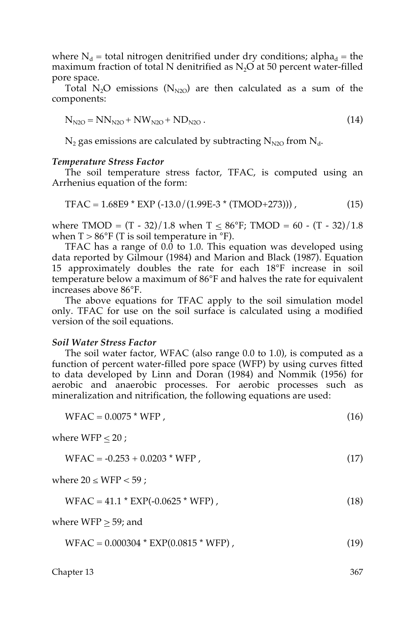where  $N_d$  = total nitrogen denitrified under dry conditions; alpha<sub>d</sub> = the maximum fraction of total N denitrified as  $N<sub>2</sub>O$  at 50 percent water-filled pore space.

Total N<sub>2</sub>O emissions (N<sub>N2O</sub>) are then calculated as a sum of the components:

$$
N_{N2O} = NN_{N2O} + NW_{N2O} + ND_{N2O} \,. \tag{14}
$$

 $N_2$  gas emissions are calculated by subtracting  $N_{N2O}$  from  $N_d$ .

#### *Temperature Stress Factor*

The soil temperature stress factor, TFAC, is computed using an Arrhenius equation of the form:

$$
TFAC = 1.68E9 * EXP (-13.0/(1.99E-3*(TMOD+273))) , \qquad (15)
$$

where TMOD =  $(T - 32)/1.8$  when  $T \le 86^\circ$ F; TMOD = 60 -  $(T - 32)/1.8$ when  $T > 86^{\circ}F$  (T is soil temperature in  ${}^{\circ}F$ ).

TFAC has a range of  $0.\overline{0}$  to 1.0. This equation was developed using data reported by Gilmour (1984) and Marion and Black (1987). Equation 15 approximately doubles the rate for each 18°F increase in soil temperature below a maximum of 86°F and halves the rate for equivalent increases above 86°F.

The above equations for TFAC apply to the soil simulation model only. TFAC for use on the soil surface is calculated using a modified version of the soil equations.

#### *Soil Water Stress Factor*

The soil water factor, WFAC (also range 0.0 to 1.0), is computed as a function of percent water-filled pore space (WFP) by using curves fitted to data developed by Linn and Doran (1984) and Nommik (1956) for aerobic and anaerobic processes. For aerobic processes such as mineralization and nitrification, the following equations are used:

 $WFAC = 0.0075 * WFP$ , (16)

where WFP  $\leq 20$  ;

$$
WFAC = -0.253 + 0.0203 * WFP, \qquad (17)
$$

where  $20 \leq WFP < 59$ ;

$$
WFAC = 41.1 * EXP(-0.0625 * WFP), \qquad (18)
$$

where  $WFP \geq 59$ ; and

$$
WFAC = 0.000304 * EXP(0.0815 * WFP), \qquad (19)
$$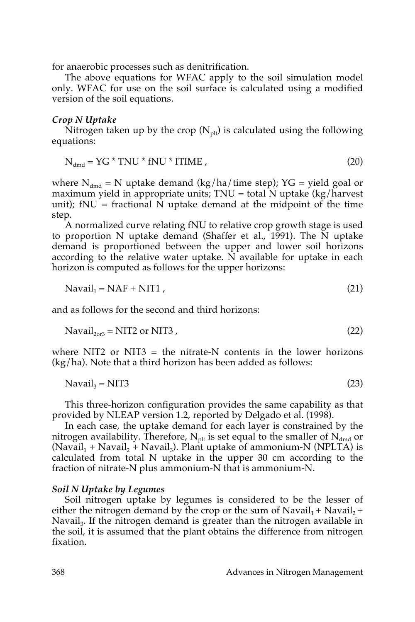for anaerobic processes such as denitrification.

The above equations for WFAC apply to the soil simulation model only. WFAC for use on the soil surface is calculated using a modified version of the soil equations.

#### *Crop N Uptake*

Nitrogen taken up by the crop  $(N_{\text{plt}})$  is calculated using the following equations:

$$
N_{\text{dmd}} = YG * TNU * fNU * ITIME , \qquad (20)
$$

where  $N_{dmd}$  = N uptake demand (kg/ha/time step); YG = yield goal or maximum yield in appropriate units;  $TNU = total\ N$  uptake (kg/harvest unit); fNU = fractional  $\overline{N}$  uptake demand at the midpoint of the time step.

A normalized curve relating fNU to relative crop growth stage is used to proportion N uptake demand (Shaffer et al., 1991). The N uptake demand is proportioned between the upper and lower soil horizons according to the relative water uptake. N available for uptake in each horizon is computed as follows for the upper horizons:

$$
Navail1 = NAF + NIT1 , \t\t(21)
$$

and as follows for the second and third horizons:

$$
Naval20r3 = NIT2 or NIT3 , \t(22)
$$

where NIT2 or NIT3  $=$  the nitrate-N contents in the lower horizons (kg/ha). Note that a third horizon has been added as follows:

$$
Navail3 = NIT3
$$
 (23)

This three-horizon configuration provides the same capability as that provided by NLEAP version 1.2, reported by Delgado et al. (1998).

In each case, the uptake demand for each layer is constrained by the nitrogen availability. Therefore,  $N_{\text{plt}}$  is set equal to the smaller of  $N_{\text{dmd}}$  or (Navail<sub>1</sub> + Navail<sub>2</sub> + Navail<sub>3</sub>). Plant uptake of ammonium-N (NPLTA) is calculated from total N uptake in the upper 30 cm according to the fraction of nitrate-N plus ammonium-N that is ammonium-N.

#### *Soil N Uptake by Legumes*

Soil nitrogen uptake by legumes is considered to be the lesser of either the nitrogen demand by the crop or the sum of  $Navail_1 + Navail_2 +$ Navail<sub>3</sub>. If the nitrogen demand is greater than the nitrogen available in the soil, it is assumed that the plant obtains the difference from nitrogen fixation.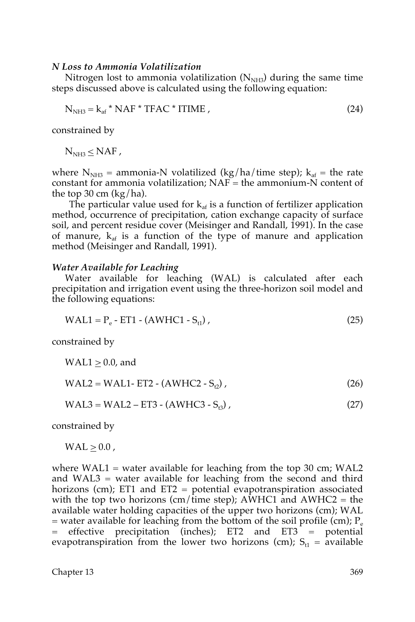#### *N Loss to Ammonia Volatilization*

Nitrogen lost to ammonia volatilization  $(N<sub>NH3</sub>)$  during the same time steps discussed above is calculated using the following equation:

$$
N_{NH3} = k_{af} * NAF * TFAC * ITIME ,
$$
\n(24)

constrained by

 $N<sub>NH3</sub> \leq NAF$ ,

where  $N_{NH3}$  = ammonia-N volatilized (kg/ha/time step);  $k_{af}$  = the rate constant for ammonia volatilization;  $NAF =$  the ammonium-N content of the top 30 cm  $(kg/ha)$ .

The particular value used for  $k_{af}$  is a function of fertilizer application method, occurrence of precipitation, cation exchange capacity of surface soil, and percent residue cover (Meisinger and Randall, 1991). In the case of manure,  $k_{af}$  is a function of the type of manure and application method (Meisinger and Randall, 1991).

#### *Water Available for Leaching*

Water available for leaching (WAL) is calculated after each precipitation and irrigation event using the three-horizon soil model and the following equations:

$$
WAL1 = P_e - ET1 - (AWHC1 - S_{t1}),
$$
\n(25)

constrained by

 $WAL1 > 0.0$ , and

$$
WAL2 = WAL1 - ET2 - (AWHC2 - S12) , \t(26)
$$

$$
WAL3 = WAL2 - ET3 - (AWHC3 - Sts),
$$
\n(27)

constrained by

 $WAL > 0.0$ ,

where  $WAL1$  = water available for leaching from the top 30 cm;  $WAL2$ and WAL3 = water available for leaching from the second and third horizons (cm); ET1 and ET2 = potential evapotranspiration associated with the top two horizons (cm/time step); AWHC1 and AWHC2 = the available water holding capacities of the upper two horizons (cm); WAL = water available for leaching from the bottom of the soil profile (cm);  $P_e$ = effective precipitation (inches); ET2 and ET3 = potential evapotranspiration from the lower two horizons (cm);  $S_{t1}$  = available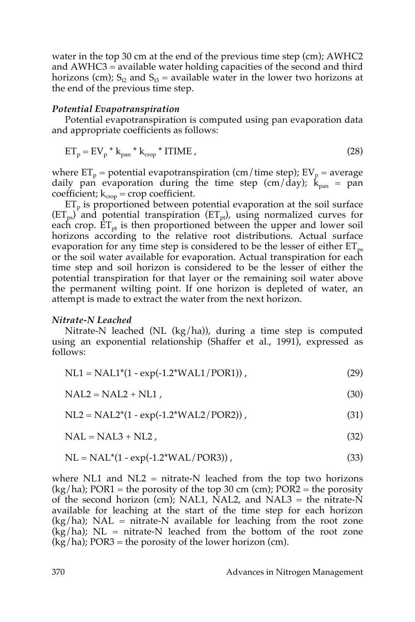water in the top 30 cm at the end of the previous time step (cm); AWHC2 and AWHC3 = available water holding capacities of the second and third horizons (cm);  $S_{12}$  and  $S_{13}$  = available water in the lower two horizons at the end of the previous time step.

#### *Potential Evapotranspiration*

Potential evapotranspiration is computed using pan evaporation data and appropriate coefficients as follows:

$$
ET_p = EV_p * k_{pan} * k_{crop} * ITIME ,
$$
\n(28)

where  $ET_p$  = potential evapotranspiration (cm/time step);  $EV_p$  = average daily pan evaporation during the time step (cm/day);  $k_{\text{pan}} =$  pan coefficient;  $k_{\text{crop}}$  = crop coefficient.

 $ET_p$  is proportioned between potential evaporation at the soil surface  $(ET_{ps})$  and potential transpiration  $(ET_{pt})$ , using normalized curves for each crop.  $ET_{pt}$  is then proportioned between the upper and lower soil horizons according to the relative root distributions. Actual surface evaporation for any time step is considered to be the lesser of either  $ET_{ps}$ or the soil water available for evaporation. Actual transpiration for each time step and soil horizon is considered to be the lesser of either the potential transpiration for that layer or the remaining soil water above the permanent wilting point. If one horizon is depleted of water, an attempt is made to extract the water from the next horizon.

#### *Nitrate-N Leached*

Nitrate-N leached (NL (kg/ha)), during a time step is computed using an exponential relationship (Shaffer et al., 1991), expressed as follows:

| $NL1 = NAL1*(1 - exp(-1.2*WAL1/PCR))$ , |  | (29) |
|-----------------------------------------|--|------|
|-----------------------------------------|--|------|

 $NAL2 = NAL2 + NLI$ , (30)

 $NL2 = NAL2*(1 - exp(-1.2*WAL2/POR2))$ , (31)

 $NAL = NAL3 + NL2$ , (32)

$$
NL = NAL^*(1 - exp(-1.2^*WAL/POR3)), \qquad (33)
$$

where NL1 and NL2  $=$  nitrate-N leached from the top two horizons  $(kg/ha)$ ; POR1 = the porosity of the top 30 cm (cm); POR2 = the porosity of the second horizon (cm); NAL1, NAL2, and NAL3 = the nitrate-N available for leaching at the start of the time step for each horizon  $(kg/ha)$ ; NAL = nitrate-N available for leaching from the root zone  $(kg/ha)$ ; NL = nitrate-N leached from the bottom of the root zone  $(kg/ha)$ ; POR3 = the porosity of the lower horizon (cm).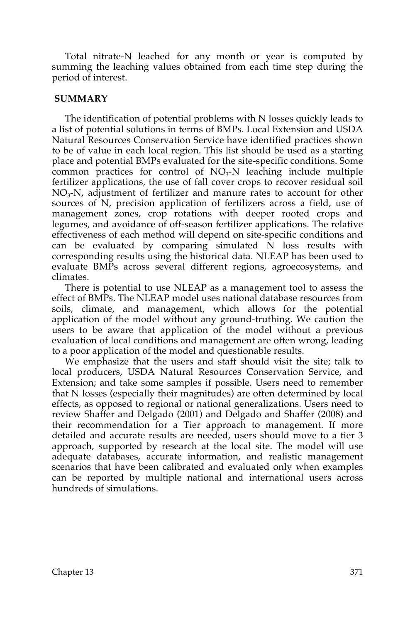Total nitrate-N leached for any month or year is computed by summing the leaching values obtained from each time step during the period of interest.

### **SUMMARY**

The identification of potential problems with N losses quickly leads to a list of potential solutions in terms of BMPs. Local Extension and USDA Natural Resources Conservation Service have identified practices shown to be of value in each local region. This list should be used as a starting place and potential BMPs evaluated for the site-specific conditions. Some common practices for control of  $NO<sub>3</sub>-N$  leaching include multiple fertilizer applications, the use of fall cover crops to recover residual soil  $NO<sub>3</sub>-N$ , adjustment of fertilizer and manure rates to account for other sources of N, precision application of fertilizers across a field, use of management zones, crop rotations with deeper rooted crops and legumes, and avoidance of off-season fertilizer applications. The relative effectiveness of each method will depend on site-specific conditions and can be evaluated by comparing simulated  $\overline{N}$  loss results with corresponding results using the historical data. NLEAP has been used to evaluate BMPs across several different regions, agroecosystems, and climates.

There is potential to use NLEAP as a management tool to assess the effect of BMPs. The NLEAP model uses national database resources from soils, climate, and management, which allows for the potential application of the model without any ground-truthing. We caution the users to be aware that application of the model without a previous evaluation of local conditions and management are often wrong, leading to a poor application of the model and questionable results.

We emphasize that the users and staff should visit the site; talk to local producers, USDA Natural Resources Conservation Service, and Extension; and take some samples if possible. Users need to remember that N losses (especially their magnitudes) are often determined by local effects, as opposed to regional or national generalizations. Users need to review Shaffer and Delgado (2001) and Delgado and Shaffer (2008) and their recommendation for a Tier approach to management. If more detailed and accurate results are needed, users should move to a tier 3 approach, supported by research at the local site. The model will use adequate databases, accurate information, and realistic management scenarios that have been calibrated and evaluated only when examples can be reported by multiple national and international users across hundreds of simulations.